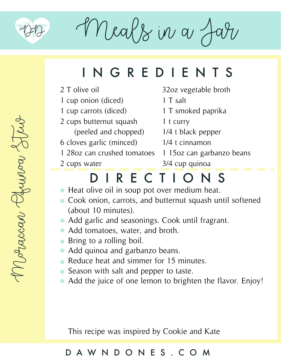

Moraccan Quinoa Stew

Moraccan Chrinoa 2

Meals in a J

# INGREDIENTS

- 2 T olive oil
- 1 cup onion (diced)
- 1 cup carrots (diced)
- 2 cups butternut squash
- (peeled and chopped) 1/4 t black pepper
- 6 cloves garlic (minced)
- 1 28oz can crushed tomatoes 1 15oz can garbanzo beans
- 2 cups water

1 T smoked paprika

32oz vegetable broth

1 t curry

1 T salt

- 
- 1/4 t cinnamon
	- 3/4 cup quinoa

# DIRECTIONS

- Heat olive oil in soup pot over medium heat.
- Cook onion, carrots, and butternut squash until softened (about 10 minutes).
- Add garlic and seasonings. Cook until fragrant.
- Add tomatoes, water, and broth.
- Bring to a rolling boil.
- Add quinoa and garbanzo beans.
- Reduce heat and simmer for 15 minutes.
- Season with salt and pepper to taste.
- Add the juice of one lemon to brighten the flavor. Enjoy!

This recipe was inspired by Cookie and Kate

#### DAWNDONES.COM